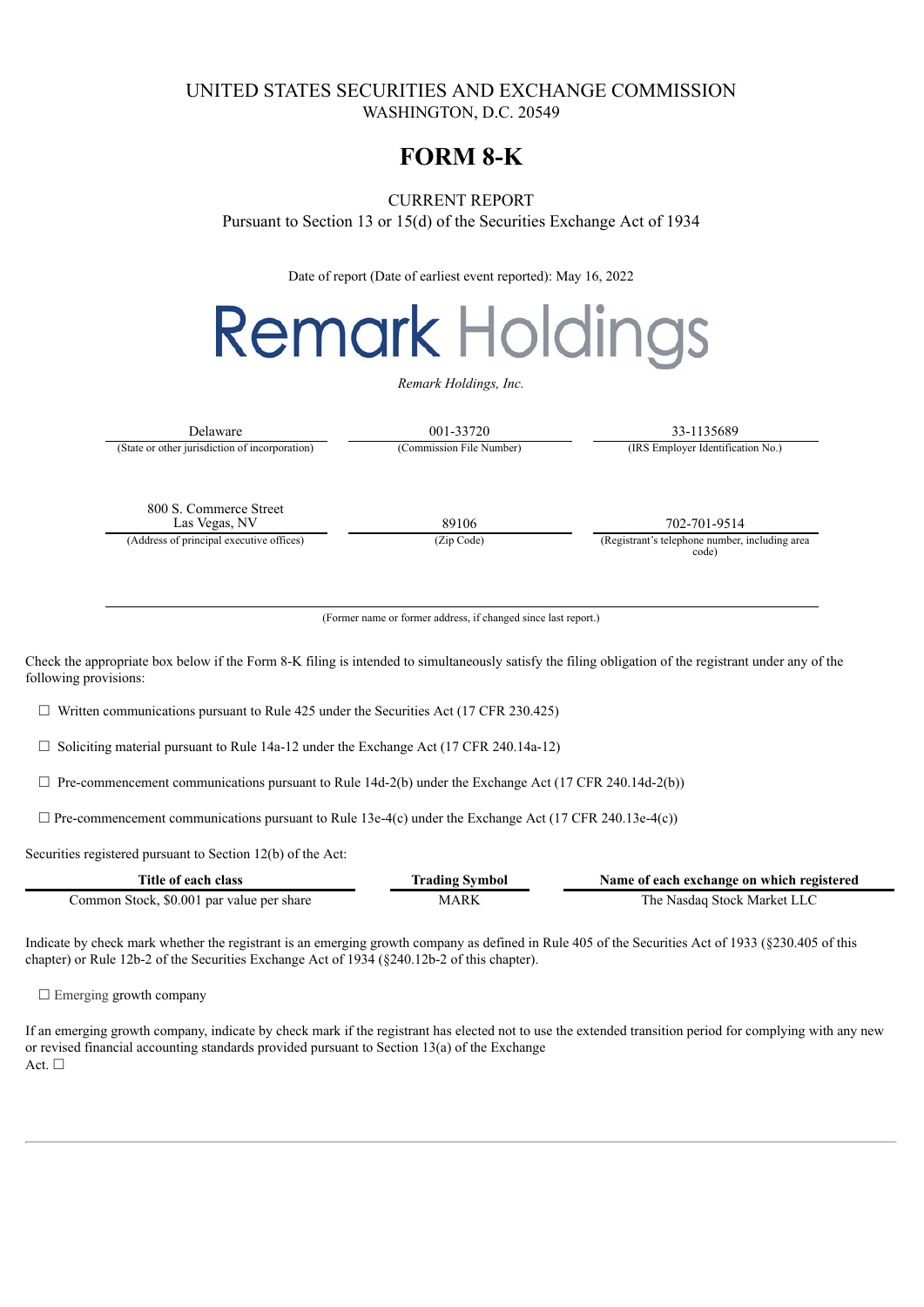### UNITED STATES SECURITIES AND EXCHANGE COMMISSION WASHINGTON, D.C. 20549

# **FORM 8-K**

CURRENT REPORT

Pursuant to Section 13 or 15(d) of the Securities Exchange Act of 1934

Date of report (Date of earliest event reported): May 16, 2022

# **Remark Holdings**

*Remark Holdings, Inc.*

Delaware 001-33720 33-1135689 (State or other jurisdiction of incorporation) (Commission File Number) (IRS Employer Identification No.) 800 S. Commerce Street Las Vegas, NV 89106 89106 702-701-9514 (Address of principal executive offices) (Zip Code) (Registrant's telephone number, including area code)

(Former name or former address, if changed since last report.)

Check the appropriate box below if the Form 8-K filing is intended to simultaneously satisfy the filing obligation of the registrant under any of the following provisions:

 $\Box$  Written communications pursuant to Rule 425 under the Securities Act (17 CFR 230.425)

 $\Box$  Soliciting material pursuant to Rule 14a-12 under the Exchange Act (17 CFR 240.14a-12)

 $\Box$  Pre-commencement communications pursuant to Rule 14d-2(b) under the Exchange Act (17 CFR 240.14d-2(b))

 $\Box$  Pre-commencement communications pursuant to Rule 13e-4(c) under the Exchange Act (17 CFR 240.13e-4(c))

Securities registered pursuant to Section 12(b) of the Act:

| Title of each class                       | <b>Trading Symbol</b> | Name of each exchange on which registered |  |  |  |  |
|-------------------------------------------|-----------------------|-------------------------------------------|--|--|--|--|
| Common Stock, \$0.001 par value per share | MARK                  | The Nasdaq Stock Market LLC               |  |  |  |  |

Indicate by check mark whether the registrant is an emerging growth company as defined in Rule 405 of the Securities Act of 1933 (§230.405 of this chapter) or Rule 12b-2 of the Securities Exchange Act of 1934 (§240.12b-2 of this chapter).

 $\Box$  Emerging growth company

If an emerging growth company, indicate by check mark if the registrant has elected not to use the extended transition period for complying with any new or revised financial accounting standards provided pursuant to Section 13(a) of the Exchange Act.  $\Box$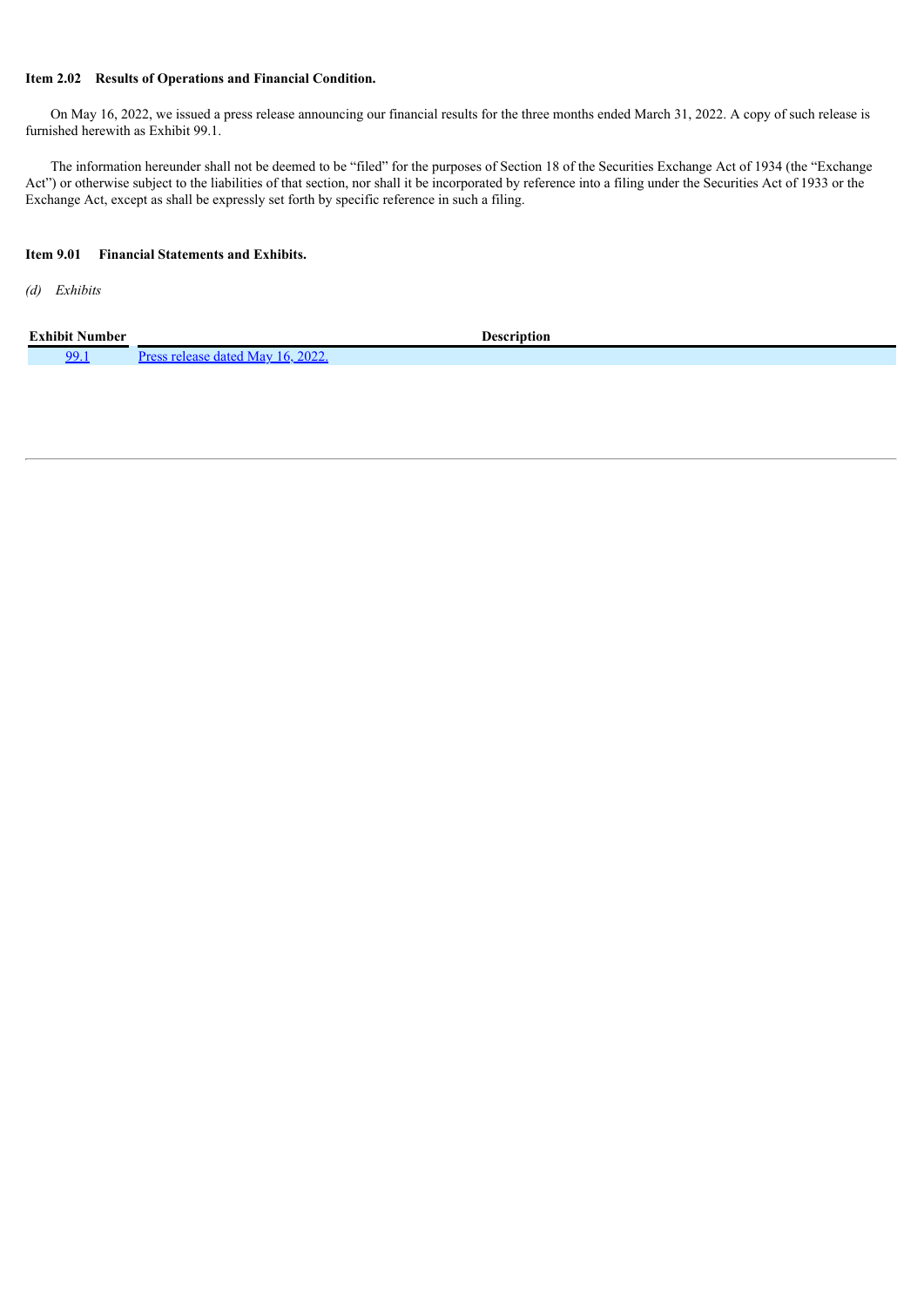#### **Item 2.02 Results of Operations and Financial Condition.**

On May 16, 2022, we issued a press release announcing our financial results for the three months ended March 31, 2022. A copy of such release is furnished herewith as Exhibit 99.1.

The information hereunder shall not be deemed to be "filed" for the purposes of Section 18 of the Securities Exchange Act of 1934 (the "Exchange Act") or otherwise subject to the liabilities of that section, nor shall it be incorporated by reference into a filing under the Securities Act of 1933 or the Exchange Act, except as shall be expressly set forth by specific reference in such a filing.

#### **Item 9.01 Financial Statements and Exhibits.**

*(d) Exhibits*

| <b>Exhibit Number</b> | Description                            |
|-----------------------|----------------------------------------|
| 99.1                  | 202<br><b>May</b><br>$-0.91c$<br>21890 |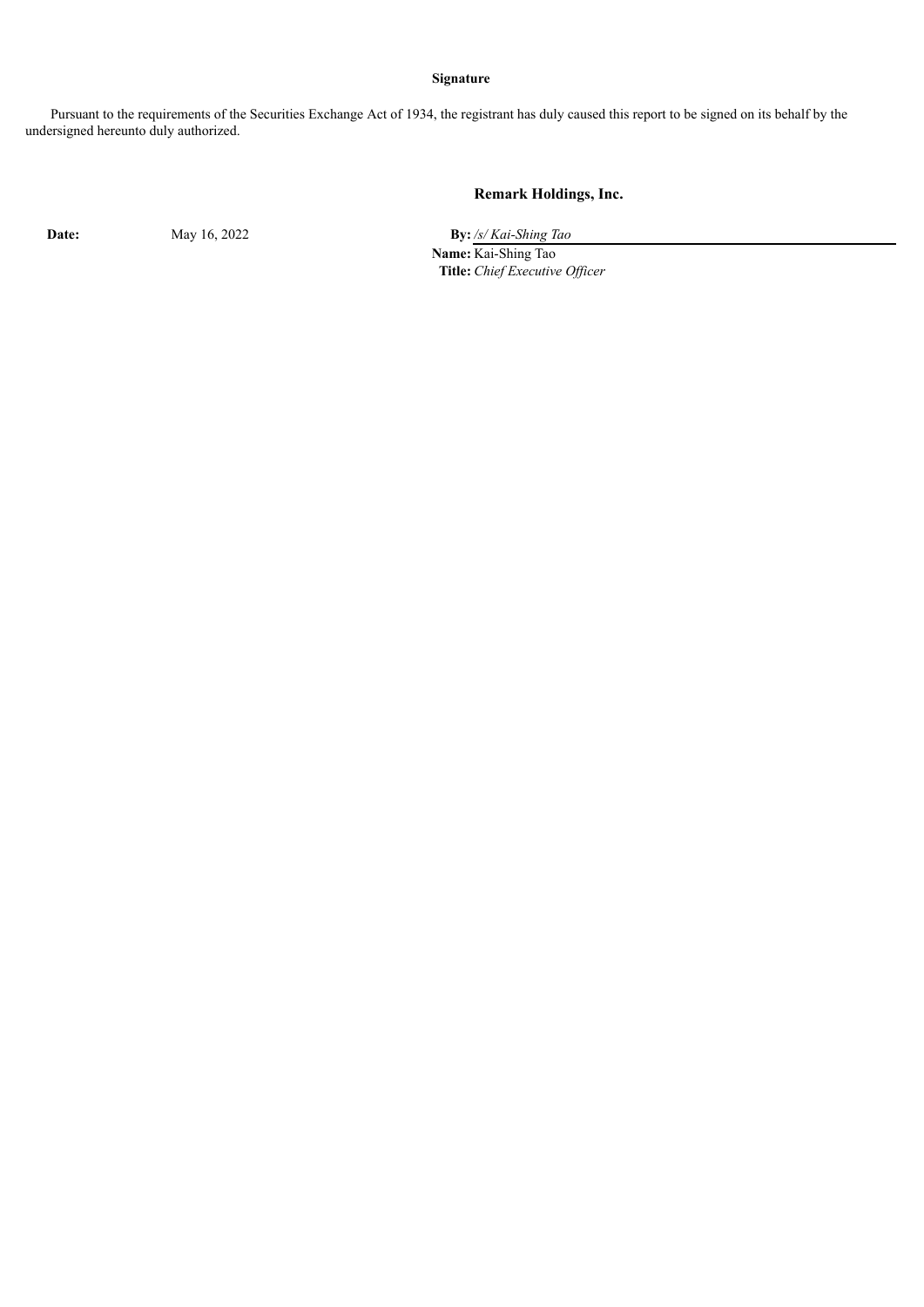#### **Signature**

Pursuant to the requirements of the Securities Exchange Act of 1934, the registrant has duly caused this report to be signed on its behalf by the undersigned hereunto duly authorized.

### **Remark Holdings, Inc.**

**Date:** May 16, 2022 **By:** */s/ Kai-Shing Tao* **Name:** Kai-Shing Tao

**Title:** *Chief Executive Of icer*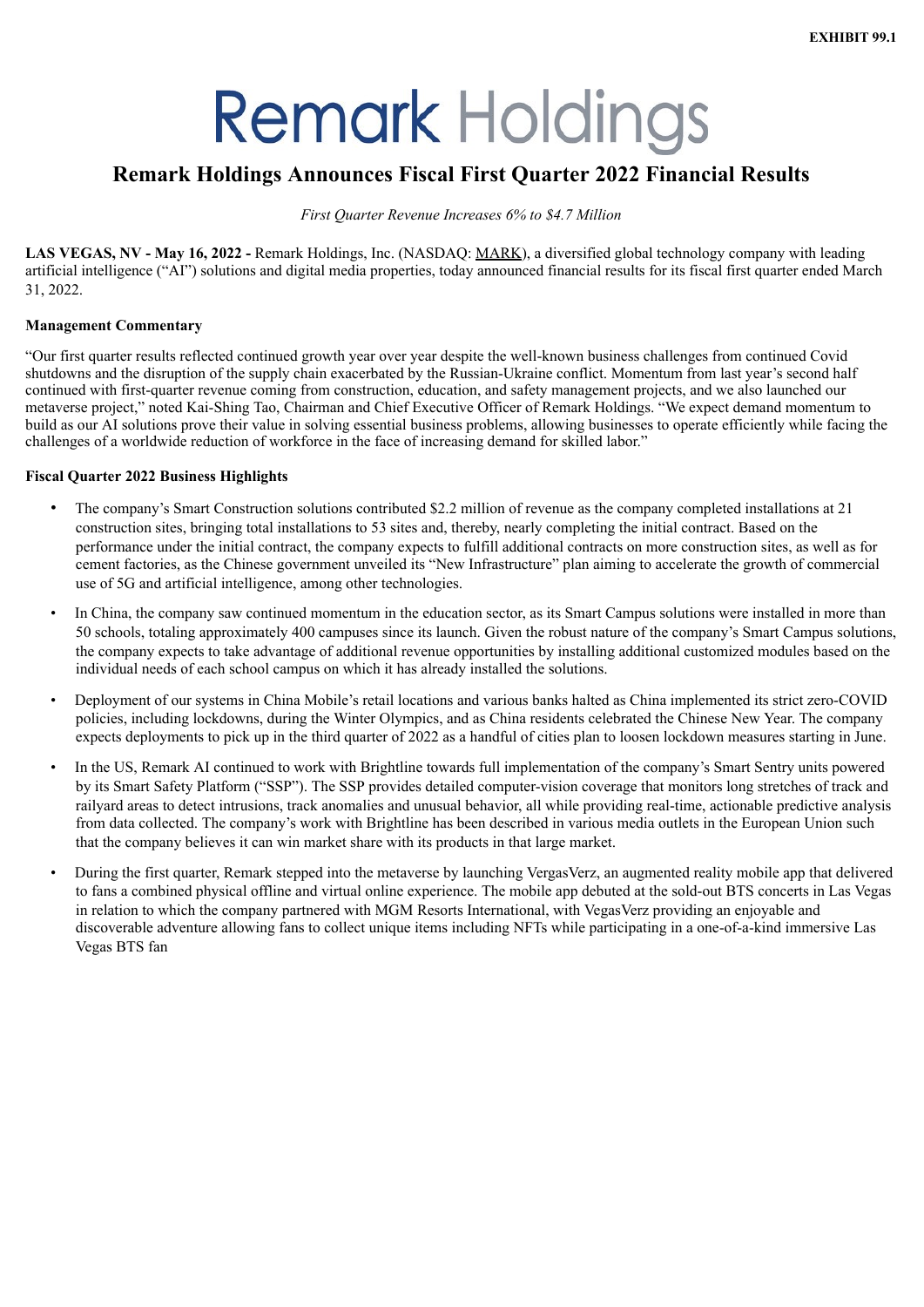# **Remark Holdings**

## <span id="page-3-0"></span>**Remark Holdings Announces Fiscal First Quarter 2022 Financial Results**

*First Quarter Revenue Increases 6% to \$4.7 Million*

**LAS VEGAS, NV - May 16, 2022 -** Remark Holdings, Inc. (NASDAQ: MARK), a diversified global technology company with leading artificial intelligence ("AI") solutions and digital media properties, today announced financial results for its fiscal first quarter ended March 31, 2022.

#### **Management Commentary**

"Our first quarter results reflected continued growth year over year despite the well-known business challenges from continued Covid shutdowns and the disruption of the supply chain exacerbated by the Russian-Ukraine conflict. Momentum from last year's second half continued with first-quarter revenue coming from construction, education, and safety management projects, and we also launched our metaverse project," noted Kai-Shing Tao, Chairman and Chief Executive Officer of Remark Holdings. "We expect demand momentum to build as our AI solutions prove their value in solving essential business problems, allowing businesses to operate efficiently while facing the challenges of a worldwide reduction of workforce in the face of increasing demand for skilled labor."

#### **Fiscal Quarter 2022 Business Highlights**

- The company's Smart Construction solutions contributed \$2.2 million of revenue as the company completed installations at 21 construction sites, bringing total installations to 53 sites and, thereby, nearly completing the initial contract. Based on the performance under the initial contract, the company expects to fulfill additional contracts on more construction sites, as well as for cement factories, as the Chinese government unveiled its "New Infrastructure" plan aiming to accelerate the growth of commercial use of 5G and artificial intelligence, among other technologies.
- In China, the company saw continued momentum in the education sector, as its Smart Campus solutions were installed in more than 50 schools, totaling approximately 400 campuses since its launch. Given the robust nature of the company's Smart Campus solutions, the company expects to take advantage of additional revenue opportunities by installing additional customized modules based on the individual needs of each school campus on which it has already installed the solutions.
- Deployment of our systems in China Mobile's retail locations and various banks halted as China implemented its strict zero-COVID policies, including lockdowns, during the Winter Olympics, and as China residents celebrated the Chinese New Year. The company expects deployments to pick up in the third quarter of 2022 as a handful of cities plan to loosen lockdown measures starting in June.
- In the US, Remark AI continued to work with Brightline towards full implementation of the company's Smart Sentry units powered by its Smart Safety Platform ("SSP"). The SSP provides detailed computer-vision coverage that monitors long stretches of track and railyard areas to detect intrusions, track anomalies and unusual behavior, all while providing real-time, actionable predictive analysis from data collected. The company's work with Brightline has been described in various media outlets in the European Union such that the company believes it can win market share with its products in that large market.
- During the first quarter, Remark stepped into the metaverse by launching VergasVerz, an augmented reality mobile app that delivered to fans a combined physical offline and virtual online experience. The mobile app debuted at the sold-out BTS concerts in Las Vegas in relation to which the company partnered with MGM Resorts International, with VegasVerz providing an enjoyable and discoverable adventure allowing fans to collect unique items including NFTs while participating in a one-of-a-kind immersive Las Vegas BTS fan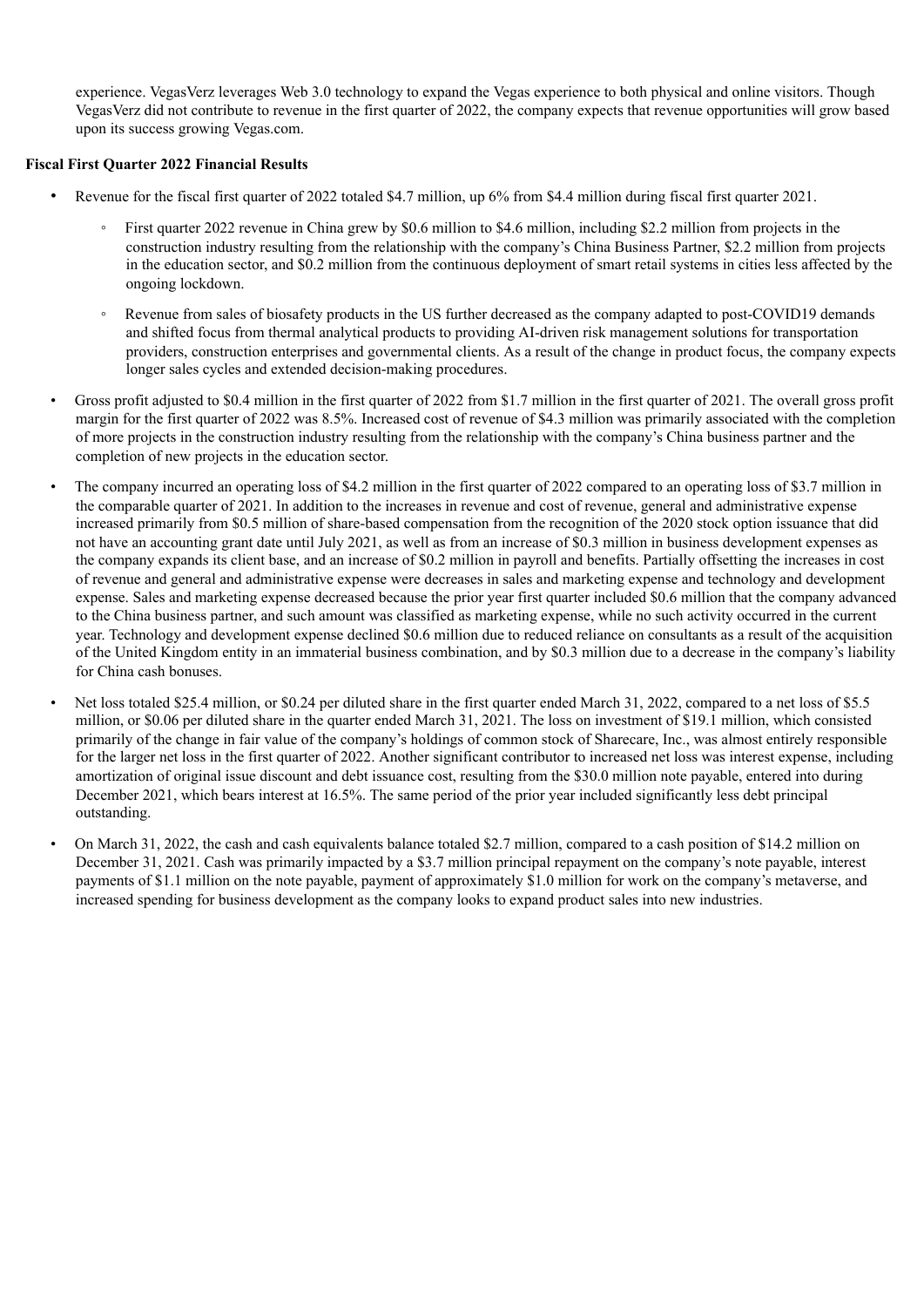experience. VegasVerz leverages Web 3.0 technology to expand the Vegas experience to both physical and online visitors. Though VegasVerz did not contribute to revenue in the first quarter of 2022, the company expects that revenue opportunities will grow based upon its success growing Vegas.com.

#### **Fiscal First Quarter 2022 Financial Results**

- Revenue for the fiscal first quarter of 2022 totaled \$4.7 million, up 6% from \$4.4 million during fiscal first quarter 2021.
	- First quarter 2022 revenue in China grew by \$0.6 million to \$4.6 million, including \$2.2 million from projects in the construction industry resulting from the relationship with the company's China Business Partner, \$2.2 million from projects in the education sector, and \$0.2 million from the continuous deployment of smart retail systems in cities less affected by the ongoing lockdown.
	- Revenue from sales of biosafety products in the US further decreased as the company adapted to post-COVID19 demands and shifted focus from thermal analytical products to providing AI-driven risk management solutions for transportation providers, construction enterprises and governmental clients. As a result of the change in product focus, the company expects longer sales cycles and extended decision-making procedures.
- Gross profit adjusted to \$0.4 million in the first quarter of 2022 from \$1.7 million in the first quarter of 2021. The overall gross profit margin for the first quarter of 2022 was 8.5%. Increased cost of revenue of \$4.3 million was primarily associated with the completion of more projects in the construction industry resulting from the relationship with the company's China business partner and the completion of new projects in the education sector.
- The company incurred an operating loss of \$4.2 million in the first quarter of 2022 compared to an operating loss of \$3.7 million in the comparable quarter of 2021. In addition to the increases in revenue and cost of revenue, general and administrative expense increased primarily from \$0.5 million of share-based compensation from the recognition of the 2020 stock option issuance that did not have an accounting grant date until July 2021, as well as from an increase of \$0.3 million in business development expenses as the company expands its client base, and an increase of \$0.2 million in payroll and benefits. Partially offsetting the increases in cost of revenue and general and administrative expense were decreases in sales and marketing expense and technology and development expense. Sales and marketing expense decreased because the prior year first quarter included \$0.6 million that the company advanced to the China business partner, and such amount was classified as marketing expense, while no such activity occurred in the current year. Technology and development expense declined \$0.6 million due to reduced reliance on consultants as a result of the acquisition of the United Kingdom entity in an immaterial business combination, and by \$0.3 million due to a decrease in the company's liability for China cash bonuses.
- Net loss totaled \$25.4 million, or \$0.24 per diluted share in the first quarter ended March 31, 2022, compared to a net loss of \$5.5 million, or \$0.06 per diluted share in the quarter ended March 31, 2021. The loss on investment of \$19.1 million, which consisted primarily of the change in fair value of the company's holdings of common stock of Sharecare, Inc., was almost entirely responsible for the larger net loss in the first quarter of 2022. Another significant contributor to increased net loss was interest expense, including amortization of original issue discount and debt issuance cost, resulting from the \$30.0 million note payable, entered into during December 2021, which bears interest at 16.5%. The same period of the prior year included significantly less debt principal outstanding.
- On March 31, 2022, the cash and cash equivalents balance totaled \$2.7 million, compared to a cash position of \$14.2 million on December 31, 2021. Cash was primarily impacted by a \$3.7 million principal repayment on the company's note payable, interest payments of \$1.1 million on the note payable, payment of approximately \$1.0 million for work on the company's metaverse, and increased spending for business development as the company looks to expand product sales into new industries.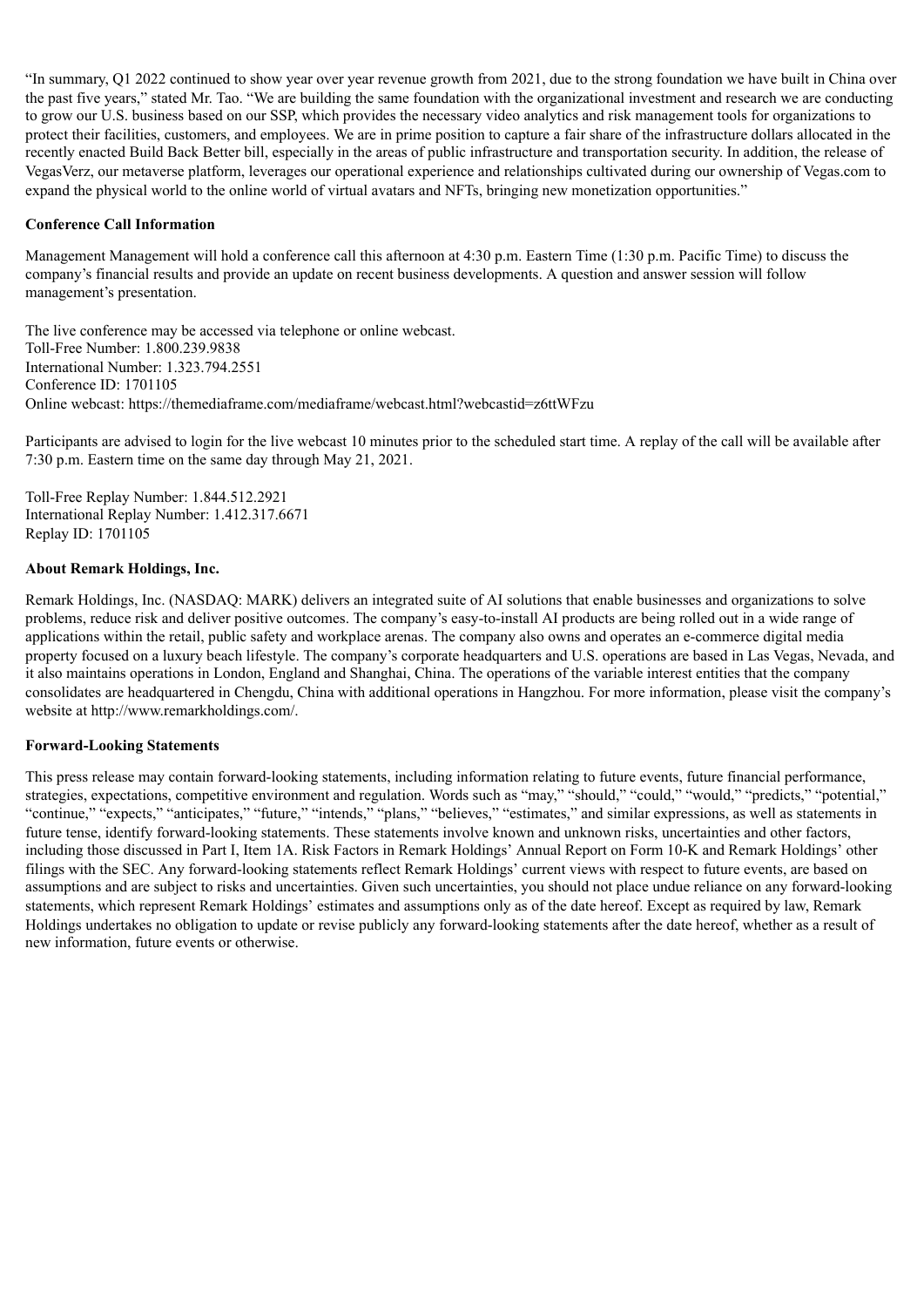"In summary, Q1 2022 continued to show year over year revenue growth from 2021, due to the strong foundation we have built in China over the past five years," stated Mr. Tao. "We are building the same foundation with the organizational investment and research we are conducting to grow our U.S. business based on our SSP, which provides the necessary video analytics and risk management tools for organizations to protect their facilities, customers, and employees. We are in prime position to capture a fair share of the infrastructure dollars allocated in the recently enacted Build Back Better bill, especially in the areas of public infrastructure and transportation security. In addition, the release of VegasVerz, our metaverse platform, leverages our operational experience and relationships cultivated during our ownership of Vegas.com to expand the physical world to the online world of virtual avatars and NFTs, bringing new monetization opportunities."

#### **Conference Call Information**

Management Management will hold a conference call this afternoon at 4:30 p.m. Eastern Time (1:30 p.m. Pacific Time) to discuss the company's financial results and provide an update on recent business developments. A question and answer session will follow management's presentation.

The live conference may be accessed via telephone or online webcast. Toll-Free Number: 1.800.239.9838 International Number: 1.323.794.2551 Conference ID: 1701105 Online webcast: https://themediaframe.com/mediaframe/webcast.html?webcastid=z6ttWFzu

Participants are advised to login for the live webcast 10 minutes prior to the scheduled start time. A replay of the call will be available after 7:30 p.m. Eastern time on the same day through May 21, 2021.

Toll-Free Replay Number: 1.844.512.2921 International Replay Number: 1.412.317.6671 Replay ID: 1701105

#### **About Remark Holdings, Inc.**

Remark Holdings, Inc. (NASDAQ: MARK) delivers an integrated suite of AI solutions that enable businesses and organizations to solve problems, reduce risk and deliver positive outcomes. The company's easy-to-install AI products are being rolled out in a wide range of applications within the retail, public safety and workplace arenas. The company also owns and operates an e-commerce digital media property focused on a luxury beach lifestyle. The company's corporate headquarters and U.S. operations are based in Las Vegas, Nevada, and it also maintains operations in London, England and Shanghai, China. The operations of the variable interest entities that the company consolidates are headquartered in Chengdu, China with additional operations in Hangzhou. For more information, please visit the company's website at http://www.remarkholdings.com/.

#### **Forward-Looking Statements**

This press release may contain forward-looking statements, including information relating to future events, future financial performance, strategies, expectations, competitive environment and regulation. Words such as "may," "should," "could," "would," "predicts," "potential," "continue," "expects," "anticipates," "future," "intends," "plans," "believes," "estimates," and similar expressions, as well as statements in future tense, identify forward-looking statements. These statements involve known and unknown risks, uncertainties and other factors, including those discussed in Part I, Item 1A. Risk Factors in Remark Holdings' Annual Report on Form 10-K and Remark Holdings' other filings with the SEC. Any forward-looking statements reflect Remark Holdings' current views with respect to future events, are based on assumptions and are subject to risks and uncertainties. Given such uncertainties, you should not place undue reliance on any forward-looking statements, which represent Remark Holdings' estimates and assumptions only as of the date hereof. Except as required by law, Remark Holdings undertakes no obligation to update or revise publicly any forward-looking statements after the date hereof, whether as a result of new information, future events or otherwise.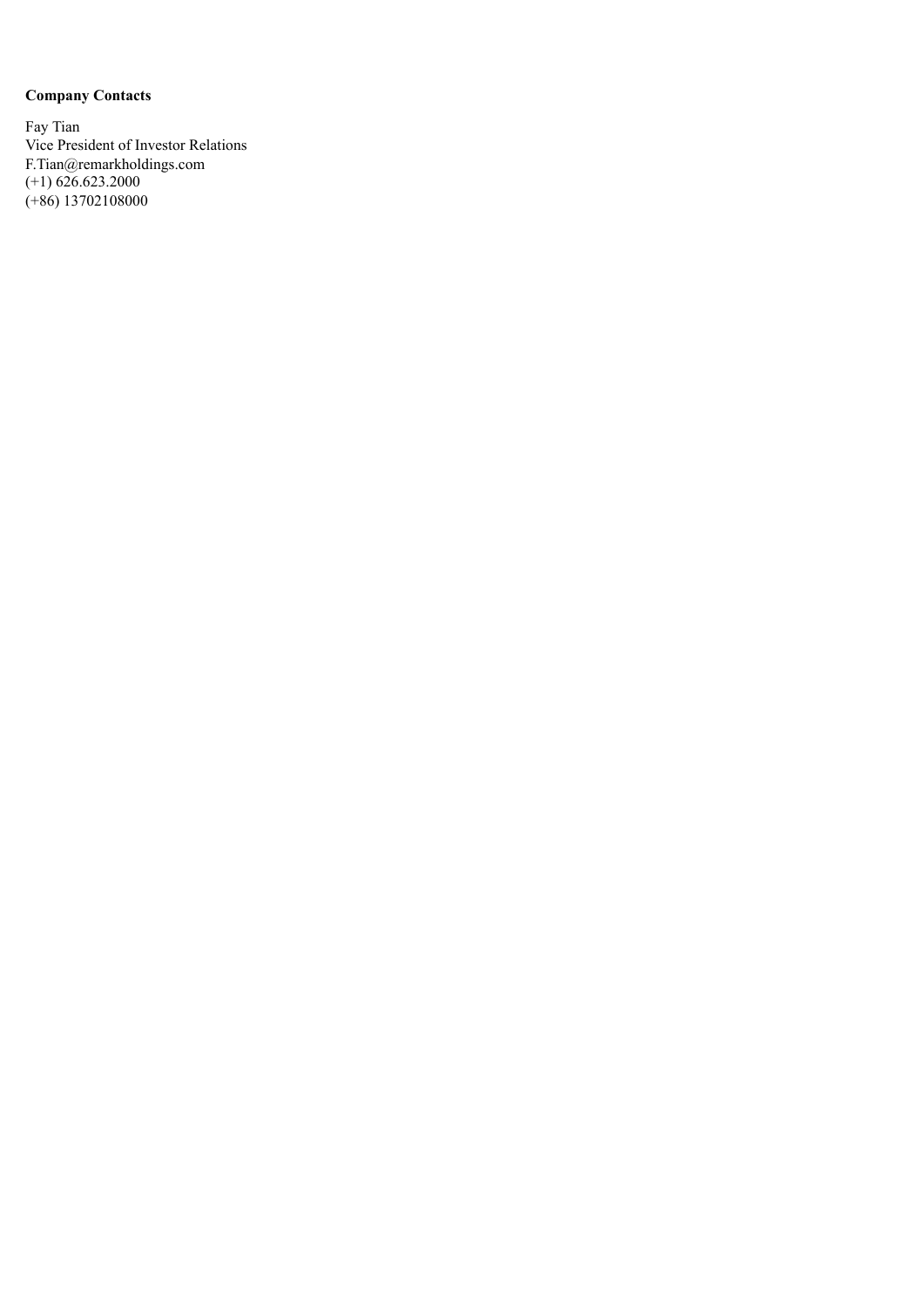## **Company Contacts**

Fay Tian Vice President of Investor Relations F.Tian@remarkholdings.com (+1) 626.623.2000 (+86) 13702108000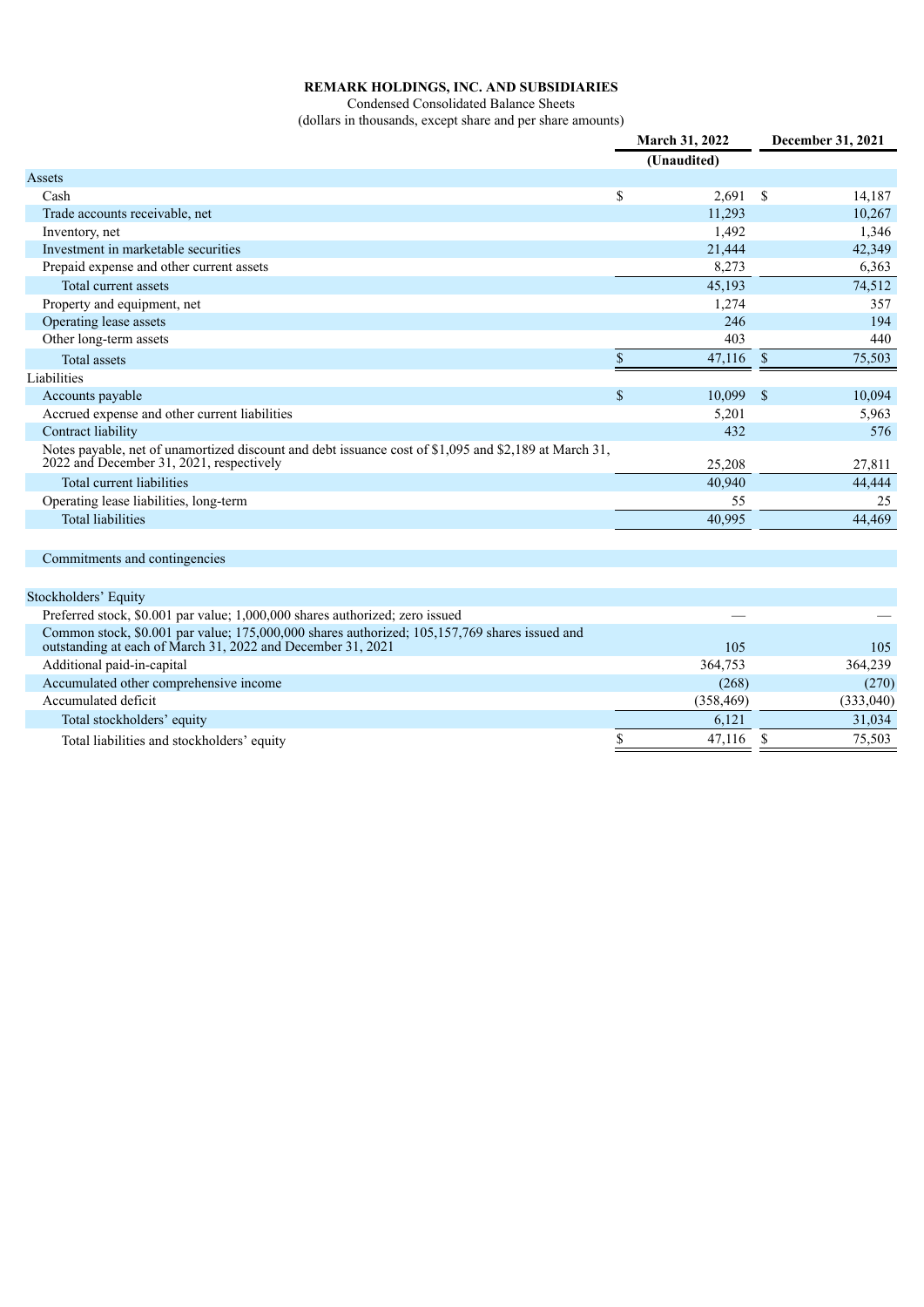#### **REMARK HOLDINGS, INC. AND SUBSIDIARIES**

Condensed Consolidated Balance Sheets (dollars in thousands, except share and per share amounts)

|                                                                                                                                                              |              | March 31, 2022 |               | December 31, 2021 |
|--------------------------------------------------------------------------------------------------------------------------------------------------------------|--------------|----------------|---------------|-------------------|
|                                                                                                                                                              |              | (Unaudited)    |               |                   |
| Assets                                                                                                                                                       |              |                |               |                   |
| Cash                                                                                                                                                         | \$           | 2.691          | <sup>S</sup>  | 14,187            |
| Trade accounts receivable, net                                                                                                                               |              | 11,293         |               | 10,267            |
| Inventory, net                                                                                                                                               |              | 1,492          |               | 1,346             |
| Investment in marketable securities                                                                                                                          |              | 21,444         |               | 42,349            |
| Prepaid expense and other current assets                                                                                                                     |              | 8,273          |               | 6,363             |
| Total current assets                                                                                                                                         |              | 45,193         |               | 74,512            |
| Property and equipment, net                                                                                                                                  |              | 1,274          |               | 357               |
| Operating lease assets                                                                                                                                       |              | 246            |               | 194               |
| Other long-term assets                                                                                                                                       |              | 403            |               | 440               |
| <b>Total assets</b>                                                                                                                                          | \$           | 47,116         | $\mathbb{S}$  | 75,503            |
| Liabilities                                                                                                                                                  |              |                |               |                   |
| Accounts payable                                                                                                                                             | $\mathbf{s}$ | 10,099         | <sup>\$</sup> | 10,094            |
| Accrued expense and other current liabilities                                                                                                                |              | 5,201          |               | 5,963             |
| Contract liability                                                                                                                                           |              | 432            |               | 576               |
| Notes payable, net of unamortized discount and debt issuance cost of \$1,095 and \$2,189 at March 31,<br>2022 and December 31, 2021, respectively            |              | 25,208         |               | 27,811            |
| Total current liabilities                                                                                                                                    |              | 40,940         |               | 44,444            |
| Operating lease liabilities, long-term                                                                                                                       |              | 55             |               | 25                |
| <b>Total liabilities</b>                                                                                                                                     |              | 40.995         |               | 44,469            |
|                                                                                                                                                              |              |                |               |                   |
| Commitments and contingencies                                                                                                                                |              |                |               |                   |
|                                                                                                                                                              |              |                |               |                   |
| Stockholders' Equity                                                                                                                                         |              |                |               |                   |
| Preferred stock, \$0.001 par value; 1,000,000 shares authorized; zero issued                                                                                 |              |                |               |                   |
| Common stock, \$0.001 par value; 175,000,000 shares authorized; 105,157,769 shares issued and<br>outstanding at each of March 31, 2022 and December 31, 2021 |              | 105            |               | 105               |
| Additional paid-in-capital                                                                                                                                   |              | 364,753        |               | 364,239           |
| Accumulated other comprehensive income                                                                                                                       |              | (268)          |               | (270)             |
| Accumulated deficit                                                                                                                                          |              | (358, 469)     |               | (333,040)         |
| Total stockholders' equity                                                                                                                                   |              | 6.121          |               | 31,034            |
| Total liabilities and stockholders' equity                                                                                                                   | \$           | 47,116         | \$            | 75,503            |